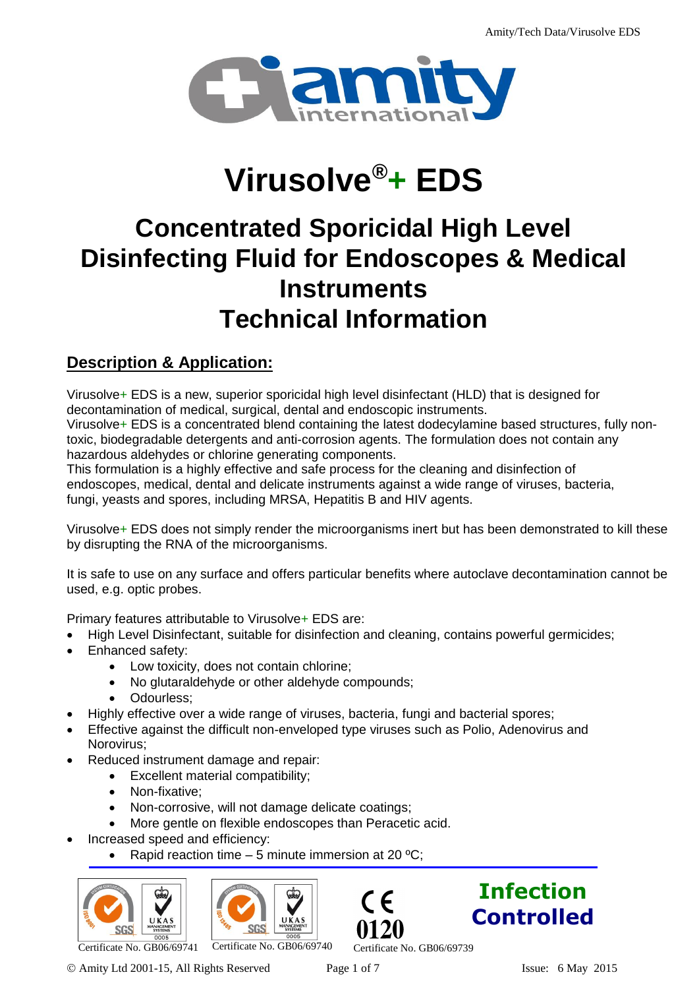

# **Virusolve®+ EDS**

# **Concentrated Sporicidal High Level Disinfecting Fluid for Endoscopes & Medical Instruments Technical Information**

# **Description & Application:**

Virusolve+ EDS is a new, superior sporicidal high level disinfectant (HLD) that is designed for decontamination of medical, surgical, dental and endoscopic instruments. Virusolve+ EDS is a concentrated blend containing the latest dodecylamine based structures, fully nontoxic, biodegradable detergents and anti-corrosion agents. The formulation does not contain any hazardous aldehydes or chlorine generating components.

This formulation is a highly effective and safe process for the cleaning and disinfection of endoscopes, medical, dental and delicate instruments against a wide range of viruses, bacteria, fungi, yeasts and spores, including MRSA, Hepatitis B and HIV agents.

Virusolve+ EDS does not simply render the microorganisms inert but has been demonstrated to kill these by disrupting the RNA of the microorganisms.

It is safe to use on any surface and offers particular benefits where autoclave decontamination cannot be used, e.g. optic probes.

Primary features attributable to Virusolve+ EDS are:

- High Level Disinfectant, suitable for disinfection and cleaning, contains powerful germicides;
- Enhanced safety:
	- Low toxicity, does not contain chlorine;
	- No glutaraldehyde or other aldehyde compounds;
	- Odourless;
- Highly effective over a wide range of viruses, bacteria, fungi and bacterial spores;
- Effective against the difficult non-enveloped type viruses such as Polio, Adenovirus and Norovirus;
- Reduced instrument damage and repair:
	- Excellent material compatibility;
	- Non-fixative;
	- Non-corrosive, will not damage delicate coatings;
	- More gentle on flexible endoscopes than Peracetic acid.
- Increased speed and efficiency:
	- Rapid reaction time  $-5$  minute immersion at 20  $^{\circ}$ C;









Certificate No. GB06/69741 Certificate No. GB06/69740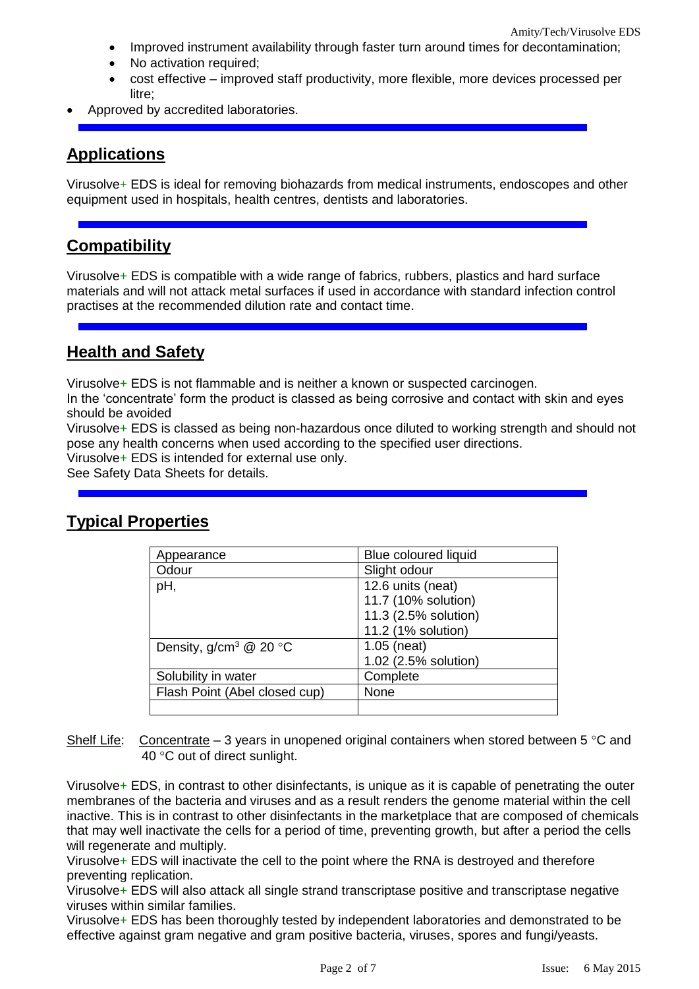- Improved instrument availability through faster turn around times for decontamination;
- No activation required;
- cost effective improved staff productivity, more flexible, more devices processed per litre;
- Approved by accredited laboratories.

# **Applications**

Virusolve+ EDS is ideal for removing biohazards from medical instruments, endoscopes and other equipment used in hospitals, health centres, dentists and laboratories.

# **Compatibility**

Virusolve+ EDS is compatible with a wide range of fabrics, rubbers, plastics and hard surface materials and will not attack metal surfaces if used in accordance with standard infection control practises at the recommended dilution rate and contact time.

# **Health and Safety**

Virusolve+ EDS is not flammable and is neither a known or suspected carcinogen.

In the 'concentrate' form the product is classed as being corrosive and contact with skin and eyes should be avoided

Virusolve+ EDS is classed as being non-hazardous once diluted to working strength and should not pose any health concerns when used according to the specified user directions.

Virusolve+ EDS is intended for external use only.

See Safety Data Sheets for details.

# **Typical Properties**

| Appearance                                  | <b>Blue coloured liquid</b> |
|---------------------------------------------|-----------------------------|
| Odour                                       | Slight odour                |
| рH,                                         | 12.6 units (neat)           |
|                                             | 11.7 (10% solution)         |
|                                             | 11.3 (2.5% solution)        |
|                                             | 11.2 (1% solution)          |
| Density, g/cm <sup>3</sup> @ 20 $\degree$ C | $1.05$ (neat)               |
|                                             | 1.02 (2.5% solution)        |
| Solubility in water                         | Complete                    |
| Flash Point (Abel closed cup)               | None                        |
|                                             |                             |

Shelf Life: Concentrate – 3 years in unopened original containers when stored between 5 °C and 40 °C out of direct sunlight.

Virusolve+ EDS, in contrast to other disinfectants, is unique as it is capable of penetrating the outer membranes of the bacteria and viruses and as a result renders the genome material within the cell inactive. This is in contrast to other disinfectants in the marketplace that are composed of chemicals that may well inactivate the cells for a period of time, preventing growth, but after a period the cells will regenerate and multiply.

Virusolve+ EDS will inactivate the cell to the point where the RNA is destroyed and therefore preventing replication.

Virusolve+ EDS will also attack all single strand transcriptase positive and transcriptase negative viruses within similar families.

Virusolve+ EDS has been thoroughly tested by independent laboratories and demonstrated to be effective against gram negative and gram positive bacteria, viruses, spores and fungi/yeasts.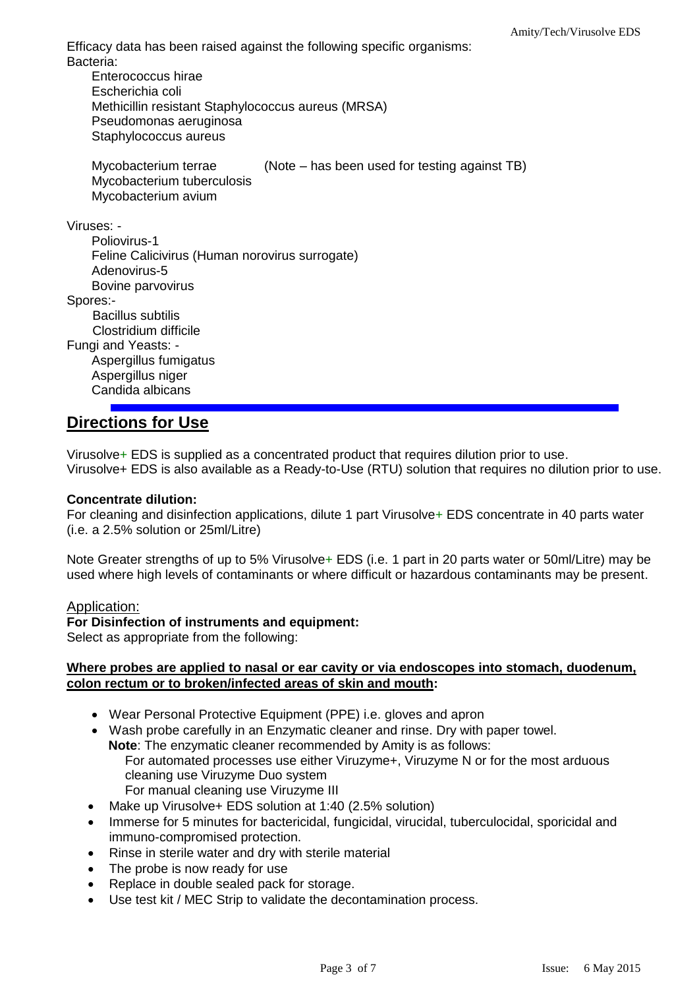Efficacy data has been raised against the following specific organisms: Bacteria:

Enterococcus hirae Escherichia coli Methicillin resistant Staphylococcus aureus (MRSA) Pseudomonas aeruginosa Staphylococcus aureus Mycobacterium terrae (Note – has been used for testing against TB) Mycobacterium tuberculosis Mycobacterium avium Viruses: - Poliovirus-1 Feline Calicivirus (Human norovirus surrogate) Adenovirus-5 Bovine parvovirus Spores:- Bacillus subtilis Clostridium difficile Fungi and Yeasts: - Aspergillus fumigatus Aspergillus niger Candida albicans

## **Directions for Use**

Virusolve+ EDS is supplied as a concentrated product that requires dilution prior to use. Virusolve+ EDS is also available as a Ready-to-Use (RTU) solution that requires no dilution prior to use.

#### **Concentrate dilution:**

For cleaning and disinfection applications, dilute 1 part Virusolve+ EDS concentrate in 40 parts water (i.e. a 2.5% solution or 25ml/Litre)

Note Greater strengths of up to 5% Virusolve+ EDS (i.e. 1 part in 20 parts water or 50ml/Litre) may be used where high levels of contaminants or where difficult or hazardous contaminants may be present.

#### Application:

#### **For Disinfection of instruments and equipment:**

Select as appropriate from the following:

#### **Where probes are applied to nasal or ear cavity or via endoscopes into stomach, duodenum, colon rectum or to broken/infected areas of skin and mouth:**

- Wear Personal Protective Equipment (PPE) i.e. gloves and apron
- Wash probe carefully in an Enzymatic cleaner and rinse. Dry with paper towel. **Note**: The enzymatic cleaner recommended by Amity is as follows: For automated processes use either Viruzyme+, Viruzyme N or for the most arduous cleaning use Viruzyme Duo system For manual cleaning use Viruzyme III
- Make up Virusolve+ EDS solution at 1:40 (2.5% solution)
- Immerse for 5 minutes for bactericidal, fungicidal, virucidal, tuberculocidal, sporicidal and immuno-compromised protection.
- Rinse in sterile water and dry with sterile material
- The probe is now ready for use
- Replace in double sealed pack for storage.
- Use test kit / MEC Strip to validate the decontamination process.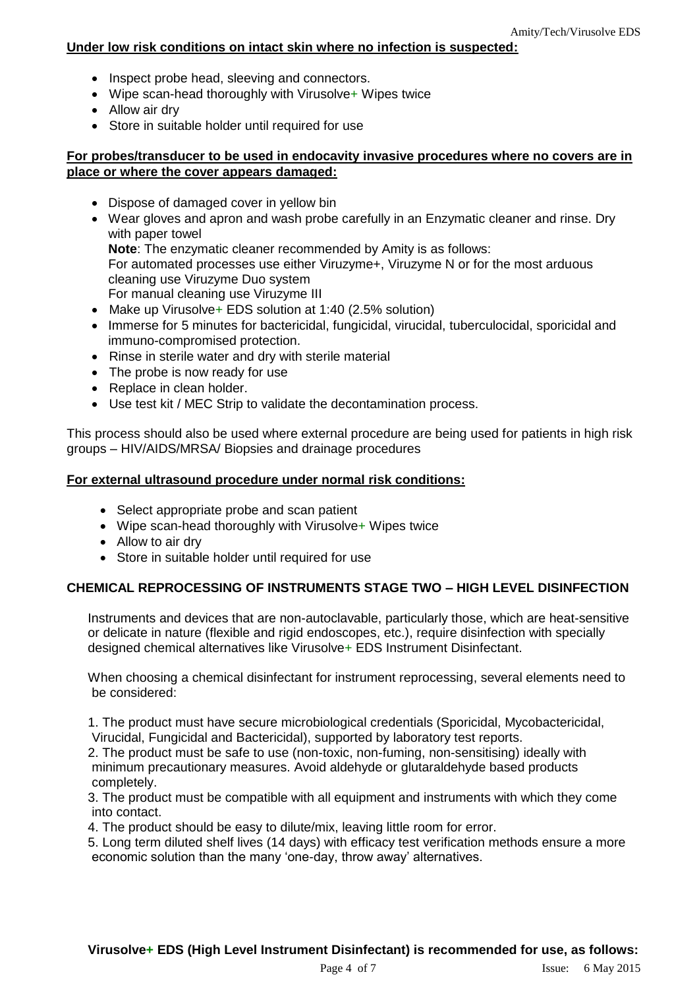### **Under low risk conditions on intact skin where no infection is suspected:**

- Inspect probe head, sleeving and connectors.
- Wipe scan-head thoroughly with Virusolve+ Wipes twice
- Allow air dry
- Store in suitable holder until required for use

#### **For probes/transducer to be used in endocavity invasive procedures where no covers are in place or where the cover appears damaged:**

- Dispose of damaged cover in yellow bin
- Wear gloves and apron and wash probe carefully in an Enzymatic cleaner and rinse. Dry with paper towel

**Note**: The enzymatic cleaner recommended by Amity is as follows:

For automated processes use either Viruzyme+, Viruzyme N or for the most arduous cleaning use Viruzyme Duo system

For manual cleaning use Viruzyme III

- Make up Virusolve + EDS solution at 1:40 (2.5% solution)
- Immerse for 5 minutes for bactericidal, fungicidal, virucidal, tuberculocidal, sporicidal and immuno-compromised protection.
- Rinse in sterile water and dry with sterile material
- The probe is now ready for use
- Replace in clean holder.
- Use test kit / MEC Strip to validate the decontamination process.

This process should also be used where external procedure are being used for patients in high risk groups – HIV/AIDS/MRSA/ Biopsies and drainage procedures

#### **For external ultrasound procedure under normal risk conditions:**

- Select appropriate probe and scan patient
- Wipe scan-head thoroughly with Virusolve+ Wipes twice
- Allow to air dry
- Store in suitable holder until required for use

### **CHEMICAL REPROCESSING OF INSTRUMENTS STAGE TWO – HIGH LEVEL DISINFECTION**

Instruments and devices that are non-autoclavable, particularly those, which are heat-sensitive or delicate in nature (flexible and rigid endoscopes, etc.), require disinfection with specially designed chemical alternatives like Virusolve+ EDS Instrument Disinfectant.

When choosing a chemical disinfectant for instrument reprocessing, several elements need to be considered:

1. The product must have secure microbiological credentials (Sporicidal, Mycobactericidal, Virucidal, Fungicidal and Bactericidal), supported by laboratory test reports.

2. The product must be safe to use (non-toxic, non-fuming, non-sensitising) ideally with minimum precautionary measures. Avoid aldehyde or glutaraldehyde based products completely.

3. The product must be compatible with all equipment and instruments with which they come into contact.

4. The product should be easy to dilute/mix, leaving little room for error.

5. Long term diluted shelf lives (14 days) with efficacy test verification methods ensure a more economic solution than the many 'one-day, throw away' alternatives.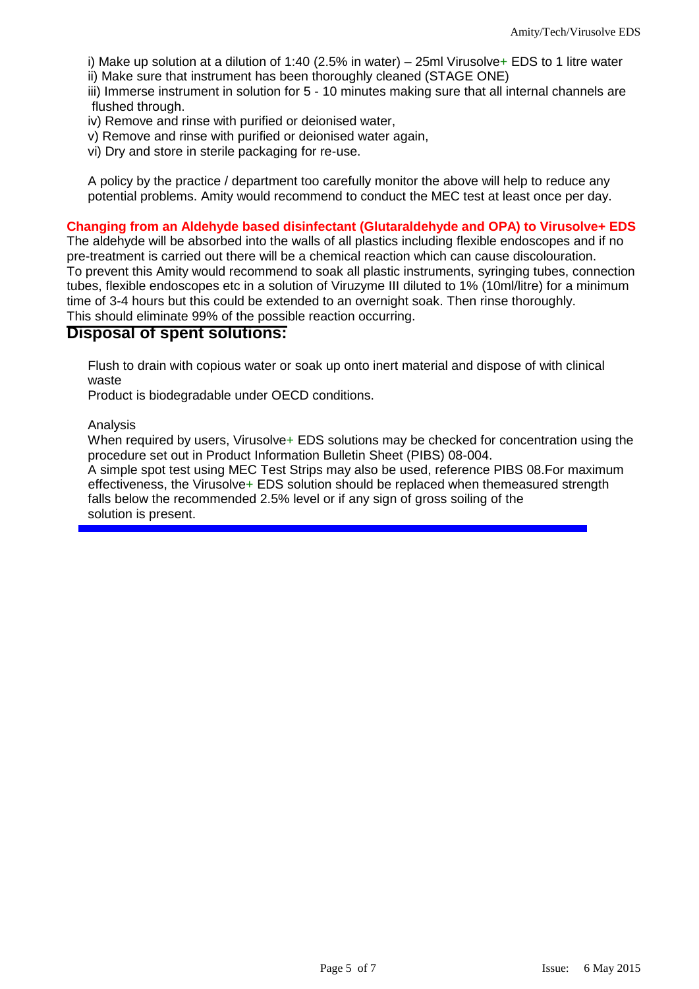i) Make up solution at a dilution of 1:40 (2.5% in water) – 25ml Virusolve+ EDS to 1 litre water ii) Make sure that instrument has been thoroughly cleaned (STAGE ONE)

iii) Immerse instrument in solution for 5 - 10 minutes making sure that all internal channels are flushed through.

iv) Remove and rinse with purified or deionised water,

v) Remove and rinse with purified or deionised water again,

vi) Dry and store in sterile packaging for re-use.

A policy by the practice / department too carefully monitor the above will help to reduce any potential problems. Amity would recommend to conduct the MEC test at least once per day.

#### **Changing from an Aldehyde based disinfectant (Glutaraldehyde and OPA) to Virusolve+ EDS**

The aldehyde will be absorbed into the walls of all plastics including flexible endoscopes and if no pre-treatment is carried out there will be a chemical reaction which can cause discolouration. To prevent this Amity would recommend to soak all plastic instruments, syringing tubes, connection tubes, flexible endoscopes etc in a solution of Viruzyme III diluted to 1% (10ml/litre) for a minimum time of 3-4 hours but this could be extended to an overnight soak. Then rinse thoroughly. This should eliminate 99% of the possible reaction occurring.

#### **Disposal of spent solutions:**

Flush to drain with copious water or soak up onto inert material and dispose of with clinical waste

Product is biodegradable under OECD conditions.

Analysis

When required by users, Virusolve+ EDS solutions may be checked for concentration using the procedure set out in Product Information Bulletin Sheet (PIBS) 08-004.

A simple spot test using MEC Test Strips may also be used, reference PIBS 08.For maximum effectiveness, the Virusolve+ EDS solution should be replaced when themeasured strength falls below the recommended 2.5% level or if any sign of gross soiling of the solution is present.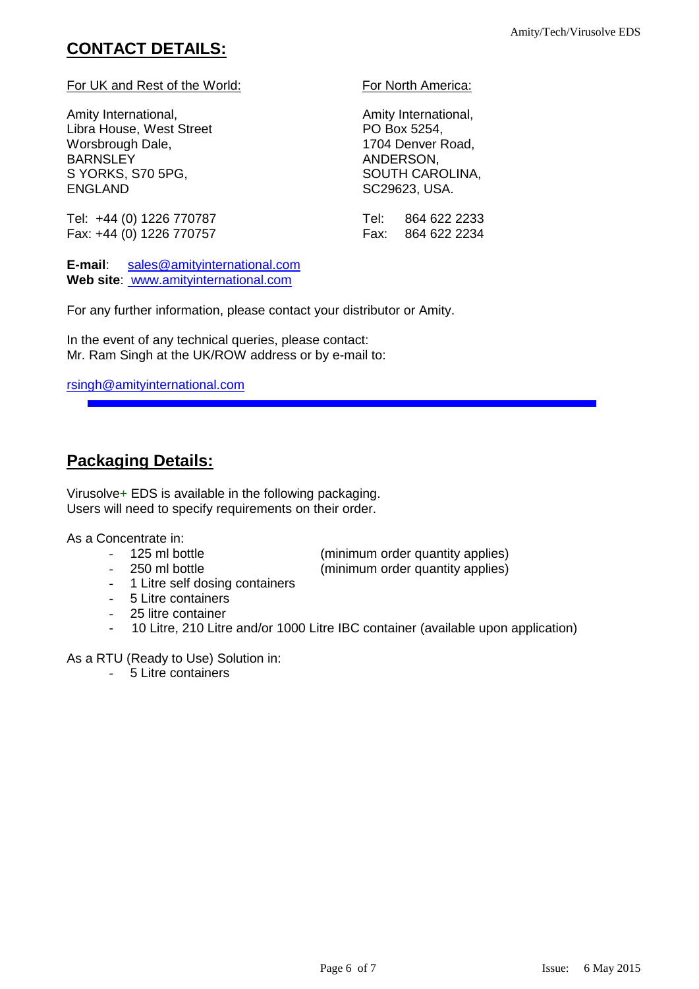# **CONTACT DETAILS:**

#### For UK and Rest of the World: For North America:

Amity International, and the control of the Amity International, Libra House, West Street PO Box 5254, Worsbrough Dale, 1704 Denver Road, BARNSLEY ANDERSON, S YORKS, S70 5PG, SALL SOUTH CAROLINA, ENGLAND SC29623, USA.

Tel: +44 (0) 1226 770787 Tel: 864 622 2233 Fax: +44 (0) 1226 770757 Fax: 864 622 2234

**E-mail**: [sales@amityinternational.com](mailto:sales@amityinternational.com) **Web site**: www.amityinternational.com

For any further information, please contact your distributor or Amity.

In the event of any technical queries, please contact: Mr. Ram Singh at the UK/ROW address or by e-mail to:

#### [rsingh@amityinternational.com](mailto:rsingh@amityinternational.com)

# **Packaging Details:**

Virusolve+ EDS is available in the following packaging. Users will need to specify requirements on their order.

As a Concentrate in:

- 
- 250 ml bottle (minimum order quantity applies)

- 125 ml bottle (minimum order quantity applies)

- 
- 1 Litre self dosing containers
- 5 Litre containers
- 25 litre container
- 10 Litre, 210 Litre and/or 1000 Litre IBC container (available upon application)

As a RTU (Ready to Use) Solution in:

- 5 Litre containers